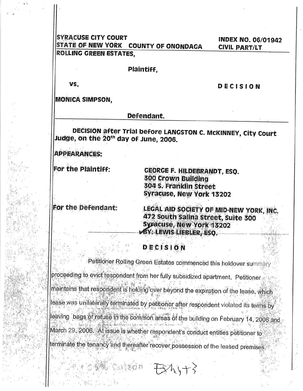**SYRACUSE CITY COURT INDEX NO. 06/01942** STATE OF NEW YORK COUNTY OF ONONDAGA **CIVIL PART/LT ROLLING GREEN ESTATES.** 

Plaintiff,

VŚ.

**DECISION** 

**MONICA SIMPSON,** 

Defendant.

DECISION after Trial before LANGSTON C. MCKINNEY, City Court Judge, on the 20<sup>th</sup> day of June, 2006.

**APPEARANCES:** 

For the Plaintiff:

**GEORGE F. HILDEBRANDT, ESQ. 300 Crown Building** 304 S. Franklin Street **Syracuse, New York 13202** 

For the Defendant:

LEGAL AID SOCIETY OF MID-NEW YORK, INC. 472 South Salina Street, Suite 300 Syracuse, New York 13202 BY: LEWIS LIEBLER, ESQ.

**DECISION** 

Petitioner Rolling Green Estates commenced this holdover summary proceeding to evict respondent from her fully subsidized apartment. Petitioner maintains that respondent is holding over beyond the expiration of the lease, which lease was unilaterally terminated by petitioner after respondent violated its terms by leaving bags of refuse in the common areas of the building on February 14, 2006 and March 29, 2006. At issue is whether respondent's conduct entities petitioner to terminate the tenancy and thereafter recover possession of the leased premises.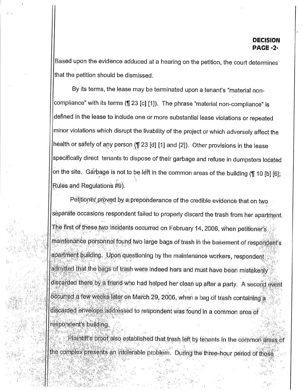Based upon the evidence adduced at a hearing on the petition, the court determines that the petition should be dismissed.

By its terms, the lease may be terminated upon a tenant's "material noncompliance" with its terms (¶ 23 [c] [1]). The phrase "material non-compliance" is defined in the lease to include one or more substantial lease violations or repeated minor violations which disrupt the livability of the project or which adversely affect the health or safety of any person (1 23 [d] [1] and [2]). Other provisions in the lease specifically direct tenants to dispose of their garbage and refuse in dumpsters located on the site. Garbage is not to be left in the common areas of the building (1 10 [b] [6]; Rules and Regulations #9).

Petitioner proved by a preponderance of the credible evidence that on two separate occasions respondent failed to properly discard the trash from her apartment. The first of these two incidents occurred on February 14, 2006, when petitioner's maintenance personnel found two large bags of trash in the basement of respondent's apartment building. Upon questioning by the maintenance workers, respondent admitted that the bags of trash were indeed hers and must have been mistakenly discarded there by a friend who had helped her clean up after a party. A second event occurred a few weeks later on March 29, 2006, when a bag of trash containing a discarded envelope addressed to respondent was found in a common area of respondent's building.

Plaintiff's proof also established that trash left by tenants in the common areas of the complex presents an intolerable problem. During the three-hour period of those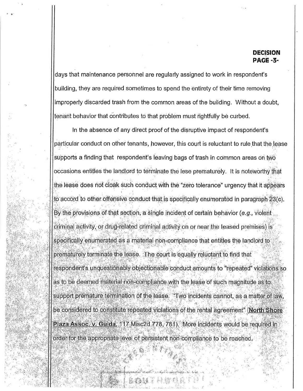## DECISION **PAGE -3-**

days that maintenance personnel are regularly assigned to work in respondent's building, they are required sometimes to spend the entirety of their time removing improperly discarded trash from the common areas of the building. Without a doubt, tenant behavior that contributes to that problem must rightfully be curbed.

In the absence of any direct proof of the disruptive impact of respondent's particular conduct on other tenants, however, this court is reluctant to rule that the lease supports a finding that respondent's leaving bags of trash in common areas on two occasions entitles the landlord to terminate the lese prematurely. It is noteworthy that the lease does not cloak such conduct with the "zero tolerance" urgency that it appears to accord to other offensive conduct that is specifically enumerated in paragraph 23(c). By the provisions of that section, a single incident of certain behavior (e.g., violent criminal activity, or drug-related criminal activity on or near the leased premises) is specifically enumerated as a material non-compliance that entitles the landlord to prematurely terminate the lease. The court is equally reluctant to find that respondent's unquestionably objectionable conduct amounts to "repeated" violations so as to be deemed material non-compliance with the lease of such magnitude as to support premature termination of the lease. "Two incidents cannot, as a matter of law, be considered to constitute repeated violations of the rental agreement" (North Shore Plaza Assoc. v. Guida, 117 Misc2d 778, 781). More incidents would be required in order for the appropriate level of persistent non-compliance to be reached.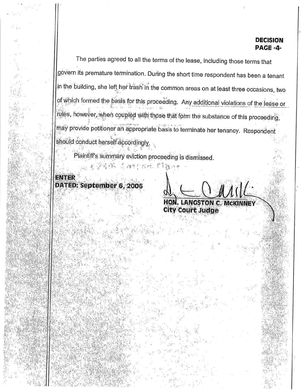**DECISION PAGE -4-**

The parties agreed to all the terms of the lease, including those terms that govern its premature termination. During the short time respondent has been a tenant in the building, she left her trash in the common areas on at least three occasions, two of which formed the basis for this proceeding. Any additional violations of the lease or rules, however, when coupled with those that form the substance of this proceeding, may provide petitioner an appropriate basis to terminate her tenancy. Respondent should conduct herself accordingly.

Plaintiff's summary eviction proceeding is dismissed.

调整打扮的 军务暂后

## **ENTER** DATED: September 6, 2006

**LANGSTON C. MCKINNEY City Court Judge**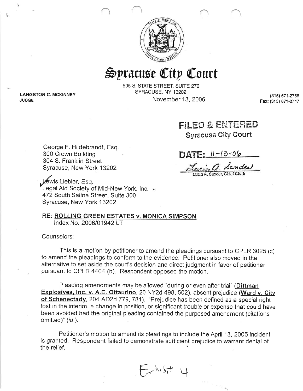

## Syracuse City Court

505 S. STATE STREET, SUITE 270 SYRACUSE, NY 13202 November 13, 2006

(315) 671-2766 Fax: (315) 671-2747

FILED & ENTERED **Syracuse City Court** 

George F. Hildebrandt, Esq. 300 Crown Building 304 S. Franklin Street Syracuse, New York 13202

éwis Liebler, Esq. Legal Aid Society of Mid-New York, Inc. 472 South Salina Street, Suite 300 Syracuse, New York 13202

RE: ROLLING GREEN ESTATES v. MONICA SIMPSON Index No. 2006/01942 LT

Counselors:

**LANGSTON C. MCKINNEY** 

**JUDGE** 

This is a motion by petitioner to amend the pleadings pursuant to CPLR 3025 (c) to amend the pleadings to conform to the evidence. Petitioner also moved in the alternative to set aside the court's decision and direct judgment in favor of petitioner pursuant to CPLR 4404 (b). Respondent opposed the motion.

Pleading amendments may be allowed "during or even after trial" (Dittman Explosives, Inc. v. A.E. Ottaurino, 20 NY2d 498, 502), absent prejudice (Ward v. City of Schenectady, 204 AD2d 779, 781). "Prejudice has been defined as a special right lost in the interim, a change in position, or significant trouble or expense that could have been avoided had the original pleading contained the purposed amendment (citations omitted)" (id.).

Petitioner's motion to amend its pleadings to include the April 13, 2005 incident is granted. Respondent failed to demonstrate sufficient prejudice to warrant denial of the relief.

 $F_{\rm th, bft}$ 

 $\text{DATE:} 11 - 13 - 06$ 

Lucia a. Sander